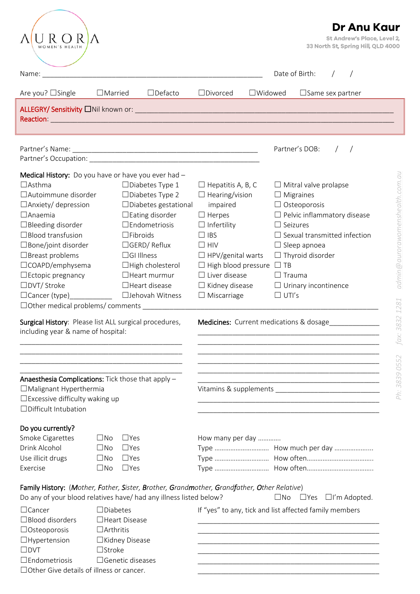|                                                                                                                                                                                                                                                                                                                                                                                                                                                                                                                                                                                                                                                                                                                                                       |                                                                                                                                                                                                                                                                                                                                                                                                                                                                                                                                                                                                                     | Dr Anu Kaur<br>St Andrew's Place, Level 2,    |
|-------------------------------------------------------------------------------------------------------------------------------------------------------------------------------------------------------------------------------------------------------------------------------------------------------------------------------------------------------------------------------------------------------------------------------------------------------------------------------------------------------------------------------------------------------------------------------------------------------------------------------------------------------------------------------------------------------------------------------------------------------|---------------------------------------------------------------------------------------------------------------------------------------------------------------------------------------------------------------------------------------------------------------------------------------------------------------------------------------------------------------------------------------------------------------------------------------------------------------------------------------------------------------------------------------------------------------------------------------------------------------------|-----------------------------------------------|
| WOMEN'S HEALTH                                                                                                                                                                                                                                                                                                                                                                                                                                                                                                                                                                                                                                                                                                                                        |                                                                                                                                                                                                                                                                                                                                                                                                                                                                                                                                                                                                                     | 33 North St, Spring Hill, QLD 4000            |
| Name:<br><u> 1989 - John Stein, Amerikaansk politiker (* 1958)</u>                                                                                                                                                                                                                                                                                                                                                                                                                                                                                                                                                                                                                                                                                    | Date of Birth:                                                                                                                                                                                                                                                                                                                                                                                                                                                                                                                                                                                                      |                                               |
| $\Box$ Defacto<br>Are you? $\Box$ Single<br>$\Box$ Married                                                                                                                                                                                                                                                                                                                                                                                                                                                                                                                                                                                                                                                                                            | $\Box$ Divorced<br>$\Box$ Widowed<br>$\Box$ Same sex partner                                                                                                                                                                                                                                                                                                                                                                                                                                                                                                                                                        |                                               |
| ALLEGRY/ Sensitivity DNil known or: University Contract Contract Contract Contract Contract Contract Contract Contract Contract Contract Contract Contract Contract Contract Contract Contract Contract Contract Contract Cont                                                                                                                                                                                                                                                                                                                                                                                                                                                                                                                        |                                                                                                                                                                                                                                                                                                                                                                                                                                                                                                                                                                                                                     |                                               |
|                                                                                                                                                                                                                                                                                                                                                                                                                                                                                                                                                                                                                                                                                                                                                       | Partner's DOB:                                                                                                                                                                                                                                                                                                                                                                                                                                                                                                                                                                                                      |                                               |
|                                                                                                                                                                                                                                                                                                                                                                                                                                                                                                                                                                                                                                                                                                                                                       |                                                                                                                                                                                                                                                                                                                                                                                                                                                                                                                                                                                                                     |                                               |
| Medical History: Do you have or have you ever had -<br>$\Box$ Asthma<br>$\Box$ Diabetes Type 1<br>□ Autoimmune disorder<br>$\Box$ Diabetes Type 2<br>$\Box$ Diabetes gestational<br>$\Box$ Anxiety/ depression<br>$\Box$ Anaemia<br>$\Box$ Eating disorder<br>$\Box$ Bleeding disorder<br>$\square$ Endometriosis<br>$\Box$ Blood transfusion<br>$\Box$ Fibroids<br>□ Bone/joint disorder<br>$\Box$ GERD/Reflux<br>$\Box$ Breast problems<br>$\Box$ GI Illness<br>□COAPD/emphysema<br>$\Box$ High cholesterol<br>$\Box$ Ectopic pregnancy<br>$\Box$ Heart murmur<br>□DVT/ Stroke<br>$\Box$ Heart disease<br>□ Jehovah Witness<br>$\Box$ Cancer (type)<br>□ Other medical problems/ comments<br>Surgical History: Please list ALL surgical procedures, | $\Box$ Hepatitis A, B, C<br>$\Box$ Mitral valve prolapse<br>$\Box$ Hearing/vision<br>$\Box$ Migraines<br>$\Box$ Osteoporosis<br>impaired<br>$\Box$ Herpes<br>$\Box$ Pelvic inflammatory disease<br>$\Box$ Infertility<br>$\Box$ Seizures<br>$\Box$ Sexual transmitted infection<br>$\Box$ IBS<br>$\Box$ HIV<br>$\Box$ Sleep apnoea<br>$\Box$ HPV/genital warts<br>$\Box$ Thyroid disorder<br>$\Box$ High blood pressure $\Box$ TB<br>$\Box$ Liver disease<br>$\Box$ Trauma<br>$\Box$ Kidney disease<br>$\Box$ Urinary incontinence<br>$\Box$ Miscarriage<br>$\Box$ UTI's<br>Medicines: Current medications & dosage | admin@aurorawomenshealth.com.au<br>1281<br>32 |
| including year & name of hospital:                                                                                                                                                                                                                                                                                                                                                                                                                                                                                                                                                                                                                                                                                                                    |                                                                                                                                                                                                                                                                                                                                                                                                                                                                                                                                                                                                                     | 38<br>fax:                                    |
|                                                                                                                                                                                                                                                                                                                                                                                                                                                                                                                                                                                                                                                                                                                                                       |                                                                                                                                                                                                                                                                                                                                                                                                                                                                                                                                                                                                                     |                                               |
|                                                                                                                                                                                                                                                                                                                                                                                                                                                                                                                                                                                                                                                                                                                                                       | <u> 1989 - Johann John Stein, markin fan it ferskearre fan it ferskearre fan it ferskearre fan it ferskearre fan </u>                                                                                                                                                                                                                                                                                                                                                                                                                                                                                               | 0552                                          |
| Anaesthesia Complications: Tick those that apply -<br>$\Box$ Malignant Hyperthermia<br>$\Box$ Excessive difficulty waking up<br>□Difficult Intubation                                                                                                                                                                                                                                                                                                                                                                                                                                                                                                                                                                                                 | <u> 1980 - Johann John Harry, mars ar breist ar breist ar breist ar breist ar breist ar breist ar breist ar breis</u><br><u> 1989 - Johann John Stone, mars et al. 1989 - John Stone, mars et al. 1989 - John Stone, mars et al. 1989 - John Stone</u>                                                                                                                                                                                                                                                                                                                                                              | Ph: 3839                                      |
| Do you currently?                                                                                                                                                                                                                                                                                                                                                                                                                                                                                                                                                                                                                                                                                                                                     |                                                                                                                                                                                                                                                                                                                                                                                                                                                                                                                                                                                                                     |                                               |
| Smoke Cigarettes<br>$\square$ No<br>$\Box$ Yes<br>Drink Alcohol<br>$\square$ No<br>$\Box$ Yes<br>Use illicit drugs<br>$\Box$ Yes<br>$\square$ No<br>$\Box$ Yes<br>Exercise<br>$\square$ No                                                                                                                                                                                                                                                                                                                                                                                                                                                                                                                                                            | How many per day                                                                                                                                                                                                                                                                                                                                                                                                                                                                                                                                                                                                    |                                               |
| Family History: (Mother, Father, Sister, Brother, Grandmother, Grandfather, Other Relative)<br>Do any of your blood relatives have/ had any illness listed below?                                                                                                                                                                                                                                                                                                                                                                                                                                                                                                                                                                                     | $\square$ No $\square$ Yes $\square$ I'm Adopted.                                                                                                                                                                                                                                                                                                                                                                                                                                                                                                                                                                   |                                               |
| $\Box$ Diabetes<br>$\Box$ Cancer<br>$\Box$ Blood disorders<br>□Heart Disease<br>$\Box$ Arthritis<br>$\Box$ Osteoporosis<br>$\Box$ Hypertension<br>□Kidney Disease<br>$\square$ Stroke<br>$\square$ DVT<br>$\Box$ Genetic diseases<br>$\square$ Endometriosis<br>□ Other Give details of illness or cancer.                                                                                                                                                                                                                                                                                                                                                                                                                                            | If "yes" to any, tick and list affected family members<br><u> 1989 - Johann John Stoff, deutscher Stoffen und der Stoffen und der Stoffen und der Stoffen und der Stoffen u</u>                                                                                                                                                                                                                                                                                                                                                                                                                                     |                                               |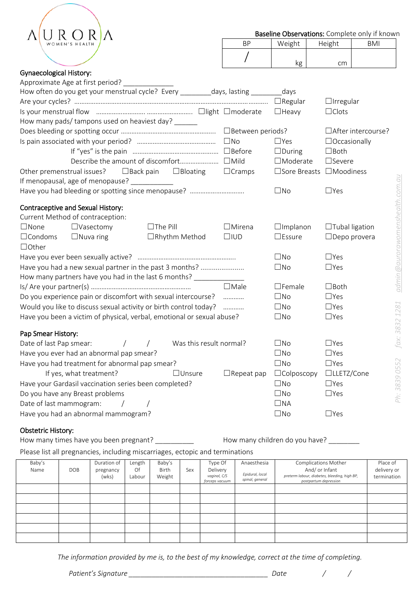|  | AURORA         |  |
|--|----------------|--|
|  | WOMEN'S HEALTH |  |

| RP | Weight | Height | <b>BMI</b> |
|----|--------|--------|------------|
|    | ĸg     | cm     |            |

## Gynaecological History:

| Approximate Age at first period?                                               |                    |                           |                       |                                 |
|--------------------------------------------------------------------------------|--------------------|---------------------------|-----------------------|---------------------------------|
| How often do you get your menstrual cycle? Every _________ days, lasting _____ |                    | days                      |                       |                                 |
|                                                                                |                    | $\Box$ Regular            | $\Box$ Irregular      |                                 |
|                                                                                |                    | $\Box$ Heavy              | $\Box$ Clots          |                                 |
| How many pads/ tampons used on heaviest day?                                   |                    |                           |                       |                                 |
|                                                                                | □ Between periods? |                           | □After intercourse?   |                                 |
|                                                                                | $\square$ No       | $\Box$ Yes                | $\Box$ Occasionally   |                                 |
|                                                                                |                    | $\Box$ During             | $\Box$ Both           |                                 |
|                                                                                |                    | $\Box$ Moderate           | □Severe               |                                 |
| Other premenstrual issues?<br>$\Box$ Back pain<br>$\Box$ Bloating              | $\Box$ Cramps      | □Sore Breasts □Moodiness  |                       |                                 |
| If menopausal, age of menopause?<br><u> 1990 - Johann Barnett, f</u>           |                    |                           |                       |                                 |
|                                                                                |                    | $\square$ No              | $\Box$ Yes            |                                 |
|                                                                                |                    |                           |                       |                                 |
| <b>Contraceptive and Sexual History:</b>                                       |                    |                           |                       |                                 |
| Current Method of contraception:                                               |                    |                           |                       |                                 |
| $\Box$ The Pill<br>$\Box$ None<br>$\Box$ Vasectomy                             | $\Box$ Mirena      | $\Box$ Implanon           | $\Box$ Tubal ligation |                                 |
| $\Box$ Condoms<br>$\Box$ Nuva ring<br>□Rhythm Method                           | $\square$ IUD      | $\square$ Essure          | $\Box$ Depo provera   |                                 |
|                                                                                |                    |                           |                       |                                 |
| $\Box$ Other                                                                   |                    |                           |                       |                                 |
|                                                                                |                    | $\square$ No              | $\Box$ Yes            |                                 |
| Have you had a new sexual partner in the past 3 months?                        |                    | $\square$ No              | $\Box$ Yes            |                                 |
| How many partners have you had in the last 6 months?                           |                    |                           |                       |                                 |
|                                                                                | $\Box$ Male        | $\Box$ Female             | $\Box$ Both           | admin@aurorawomenshealth.com.au |
| Do you experience pain or discomfort with sexual intercourse?                  | .                  | $\square$ No              | $\Box$ Yes            |                                 |
| Would you like to discuss sexual activity or birth control today?              | .                  | $\square$ No              | $\Box$ Yes            |                                 |
| Have you been a victim of physical, verbal, emotional or sexual abuse?         |                    | $\square$ No              | $\Box$ Yes            |                                 |
|                                                                                |                    |                           |                       |                                 |
| Pap Smear History:                                                             |                    |                           |                       |                                 |
| Was this result normal?<br>Date of last Pap smear:<br>$\sqrt{2}$<br>$\sqrt{2}$ |                    | $\Box$ No                 | $\Box$ Yes            | fax: 3832 1281                  |
| Have you ever had an abnormal pap smear?                                       |                    | $\square$ No              | $\Box$ Yes            |                                 |
| Have you had treatment for abnormal pap smear?                                 |                    | $\square$ No              | $\Box$ Yes            |                                 |
| If yes, what treatment?<br>$\Box$ Unsure                                       | $\Box$ Repeat pap  | $\Box$ Colposcopy         | □LLETZ/Cone           |                                 |
| Have your Gardasil vaccination series been completed?                          |                    | $\square$ No              | $\Box$ Yes            |                                 |
| Do you have any Breast problems                                                |                    | $\square$ No              | $\Box$ Yes            |                                 |
| Date of last mammogram:<br>$\sqrt{2}$<br>Have you had an abnormal mammogram?   |                    | $\Box$ NA<br>$\square$ No | $\Box$ Yes            | Ph: 3839 0552                   |

## Obstetric History:

How many times have you been pregnant? \_\_\_\_\_\_\_\_\_\_ How many children do you have? \_\_\_\_\_\_\_\_

Please list all pregnancies, including miscarriages, ectopic and terminations

| Baby's<br>Name | DOB | Duration of<br>pregnancy<br>(wks) | Length<br>Of<br>Labour | Baby's<br><b>Birth</b><br>Weight | Sex | Type Of<br>Delivery<br>vaginal, C/S<br>forceps vacuum | Anaesthesia<br>Epidural, local<br>spinal, general | Complications Mother<br>And/ or Infant<br>preterm labour, diabetes, bleeding, high BP,<br>postpartum depression | Place of<br>delivery or<br>termination |
|----------------|-----|-----------------------------------|------------------------|----------------------------------|-----|-------------------------------------------------------|---------------------------------------------------|-----------------------------------------------------------------------------------------------------------------|----------------------------------------|
|                |     |                                   |                        |                                  |     |                                                       |                                                   |                                                                                                                 |                                        |
|                |     |                                   |                        |                                  |     |                                                       |                                                   |                                                                                                                 |                                        |
|                |     |                                   |                        |                                  |     |                                                       |                                                   |                                                                                                                 |                                        |
|                |     |                                   |                        |                                  |     |                                                       |                                                   |                                                                                                                 |                                        |
|                |     |                                   |                        |                                  |     |                                                       |                                                   |                                                                                                                 |                                        |
|                |     |                                   |                        |                                  |     |                                                       |                                                   |                                                                                                                 |                                        |

*The information provided by me is, to the best of my knowledge, correct at the time of completing.*

*Patient's Signature \_\_\_\_\_\_\_\_\_\_\_\_\_\_\_\_\_\_\_\_\_\_\_\_\_\_\_\_\_\_\_\_\_\_\_\_ Date / /*

*Ph: 3839 0552 fax: 3832 1281 [admin@aurorawomenshealth.com.au](mailto:admin@aurorawomenshealth.com.au)*